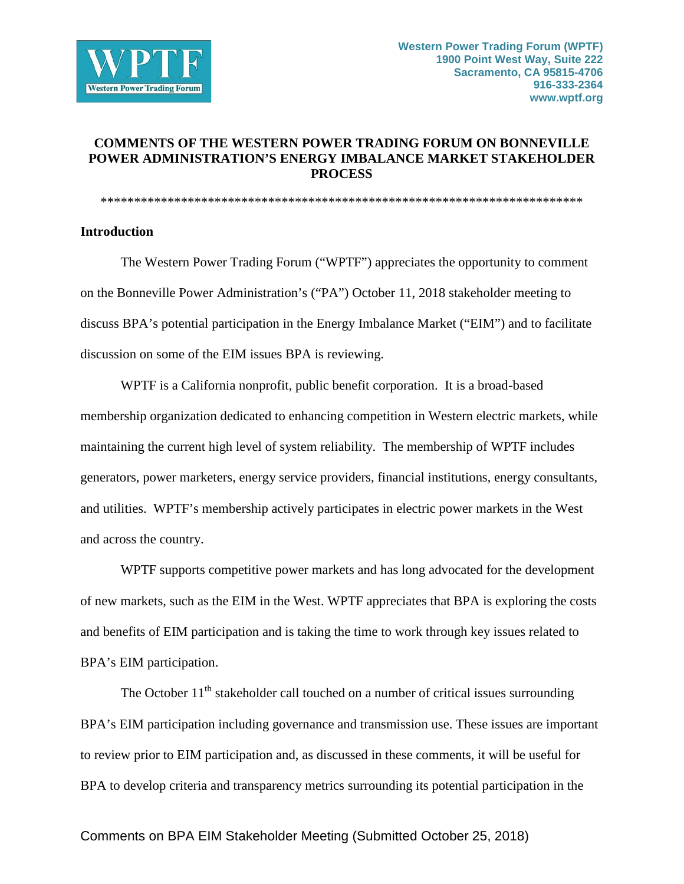

# **COMMENTS OF THE WESTERN POWER TRADING FORUM ON BONNEVILLE POWER ADMINISTRATION'S ENERGY IMBALANCE MARKET STAKEHOLDER PROCESS**

\*\*\*\*\*\*\*\*\*\*\*\*\*\*\*\*\*\*\*\*\*\*\*\*\*\*\*\*\*\*\*\*\*\*\*\*\*\*\*\*\*\*\*\*\*\*\*\*\*\*\*\*\*\*\*\*\*\*\*\*\*\*\*\*\*\*\*\*\*\*\*\*

### **Introduction**

The Western Power Trading Forum ("WPTF") appreciates the opportunity to comment on the Bonneville Power Administration's ("PA") October 11, 2018 stakeholder meeting to discuss BPA's potential participation in the Energy Imbalance Market ("EIM") and to facilitate discussion on some of the EIM issues BPA is reviewing.

WPTF is a California nonprofit, public benefit corporation. It is a broad-based membership organization dedicated to enhancing competition in Western electric markets, while maintaining the current high level of system reliability. The membership of WPTF includes generators, power marketers, energy service providers, financial institutions, energy consultants, and utilities. WPTF's membership actively participates in electric power markets in the West and across the country.

WPTF supports competitive power markets and has long advocated for the development of new markets, such as the EIM in the West. WPTF appreciates that BPA is exploring the costs and benefits of EIM participation and is taking the time to work through key issues related to BPA's EIM participation.

The October  $11<sup>th</sup>$  stakeholder call touched on a number of critical issues surrounding BPA's EIM participation including governance and transmission use. These issues are important to review prior to EIM participation and, as discussed in these comments, it will be useful for BPA to develop criteria and transparency metrics surrounding its potential participation in the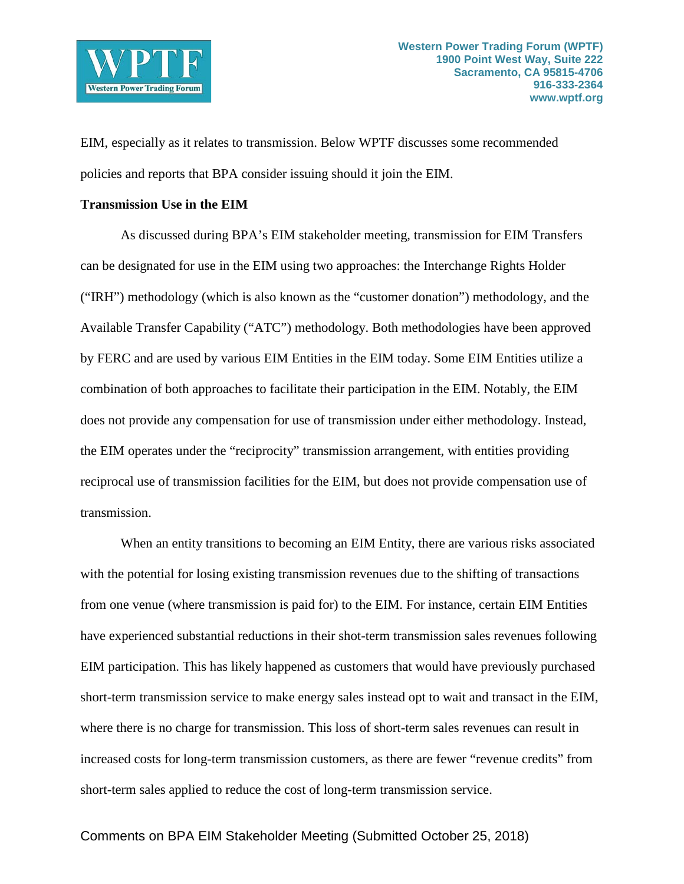

EIM, especially as it relates to transmission. Below WPTF discusses some recommended policies and reports that BPA consider issuing should it join the EIM.

### **Transmission Use in the EIM**

As discussed during BPA's EIM stakeholder meeting, transmission for EIM Transfers can be designated for use in the EIM using two approaches: the Interchange Rights Holder ("IRH") methodology (which is also known as the "customer donation") methodology, and the Available Transfer Capability ("ATC") methodology. Both methodologies have been approved by FERC and are used by various EIM Entities in the EIM today. Some EIM Entities utilize a combination of both approaches to facilitate their participation in the EIM. Notably, the EIM does not provide any compensation for use of transmission under either methodology. Instead, the EIM operates under the "reciprocity" transmission arrangement, with entities providing reciprocal use of transmission facilities for the EIM, but does not provide compensation use of transmission.

When an entity transitions to becoming an EIM Entity, there are various risks associated with the potential for losing existing transmission revenues due to the shifting of transactions from one venue (where transmission is paid for) to the EIM. For instance, certain EIM Entities have experienced substantial reductions in their shot-term transmission sales revenues following EIM participation. This has likely happened as customers that would have previously purchased short-term transmission service to make energy sales instead opt to wait and transact in the EIM, where there is no charge for transmission. This loss of short-term sales revenues can result in increased costs for long-term transmission customers, as there are fewer "revenue credits" from short-term sales applied to reduce the cost of long-term transmission service.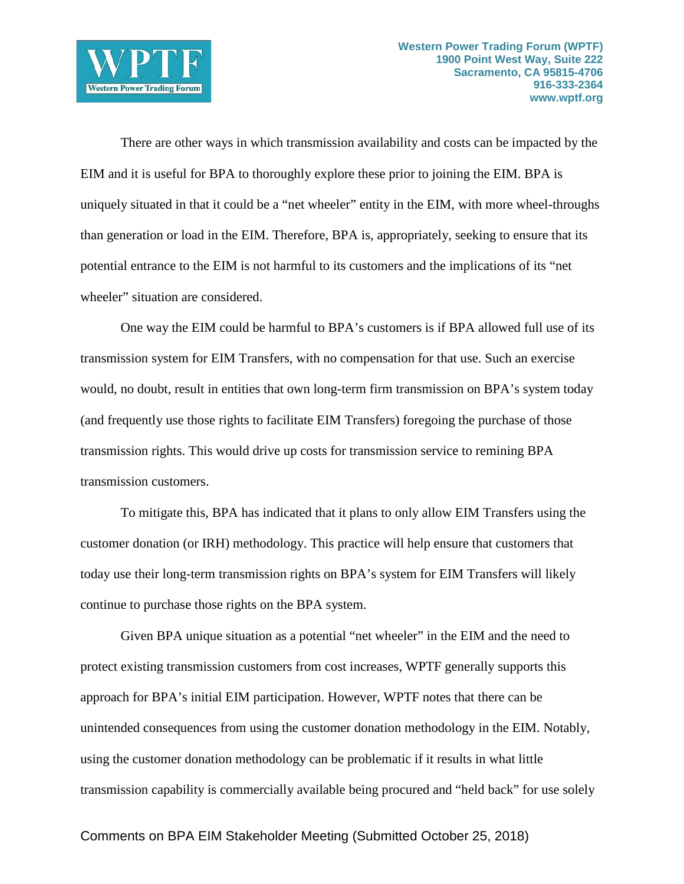

There are other ways in which transmission availability and costs can be impacted by the EIM and it is useful for BPA to thoroughly explore these prior to joining the EIM. BPA is uniquely situated in that it could be a "net wheeler" entity in the EIM, with more wheel-throughs than generation or load in the EIM. Therefore, BPA is, appropriately, seeking to ensure that its potential entrance to the EIM is not harmful to its customers and the implications of its "net wheeler" situation are considered.

One way the EIM could be harmful to BPA's customers is if BPA allowed full use of its transmission system for EIM Transfers, with no compensation for that use. Such an exercise would, no doubt, result in entities that own long-term firm transmission on BPA's system today (and frequently use those rights to facilitate EIM Transfers) foregoing the purchase of those transmission rights. This would drive up costs for transmission service to remining BPA transmission customers.

To mitigate this, BPA has indicated that it plans to only allow EIM Transfers using the customer donation (or IRH) methodology. This practice will help ensure that customers that today use their long-term transmission rights on BPA's system for EIM Transfers will likely continue to purchase those rights on the BPA system.

Given BPA unique situation as a potential "net wheeler" in the EIM and the need to protect existing transmission customers from cost increases, WPTF generally supports this approach for BPA's initial EIM participation. However, WPTF notes that there can be unintended consequences from using the customer donation methodology in the EIM. Notably, using the customer donation methodology can be problematic if it results in what little transmission capability is commercially available being procured and "held back" for use solely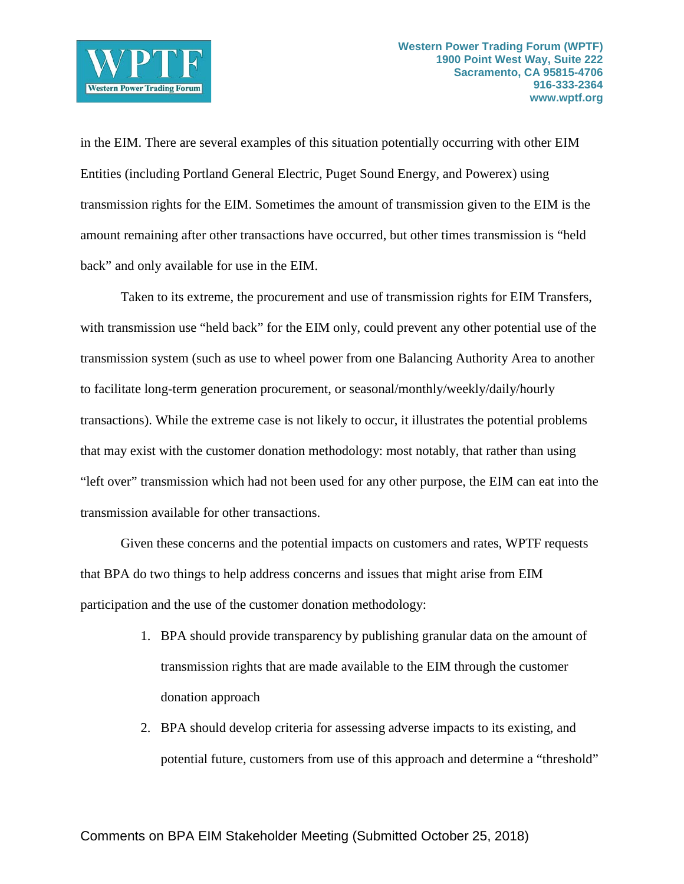

in the EIM. There are several examples of this situation potentially occurring with other EIM Entities (including Portland General Electric, Puget Sound Energy, and Powerex) using transmission rights for the EIM. Sometimes the amount of transmission given to the EIM is the amount remaining after other transactions have occurred, but other times transmission is "held back" and only available for use in the EIM.

Taken to its extreme, the procurement and use of transmission rights for EIM Transfers, with transmission use "held back" for the EIM only, could prevent any other potential use of the transmission system (such as use to wheel power from one Balancing Authority Area to another to facilitate long-term generation procurement, or seasonal/monthly/weekly/daily/hourly transactions). While the extreme case is not likely to occur, it illustrates the potential problems that may exist with the customer donation methodology: most notably, that rather than using "left over" transmission which had not been used for any other purpose, the EIM can eat into the transmission available for other transactions.

Given these concerns and the potential impacts on customers and rates, WPTF requests that BPA do two things to help address concerns and issues that might arise from EIM participation and the use of the customer donation methodology:

- 1. BPA should provide transparency by publishing granular data on the amount of transmission rights that are made available to the EIM through the customer donation approach
- 2. BPA should develop criteria for assessing adverse impacts to its existing, and potential future, customers from use of this approach and determine a "threshold"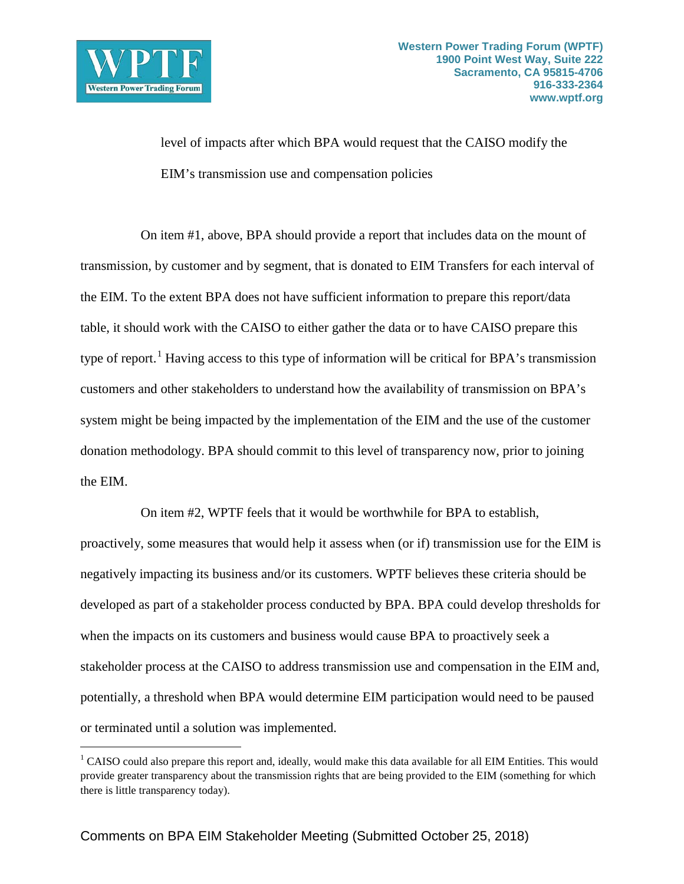

 $\overline{a}$ 

level of impacts after which BPA would request that the CAISO modify the EIM's transmission use and compensation policies

On item #1, above, BPA should provide a report that includes data on the mount of transmission, by customer and by segment, that is donated to EIM Transfers for each interval of the EIM. To the extent BPA does not have sufficient information to prepare this report/data table, it should work with the CAISO to either gather the data or to have CAISO prepare this type of report.<sup>[1](#page-4-0)</sup> Having access to this type of information will be critical for BPA's transmission customers and other stakeholders to understand how the availability of transmission on BPA's system might be being impacted by the implementation of the EIM and the use of the customer donation methodology. BPA should commit to this level of transparency now, prior to joining the EIM.

On item #2, WPTF feels that it would be worthwhile for BPA to establish, proactively, some measures that would help it assess when (or if) transmission use for the EIM is negatively impacting its business and/or its customers. WPTF believes these criteria should be developed as part of a stakeholder process conducted by BPA. BPA could develop thresholds for when the impacts on its customers and business would cause BPA to proactively seek a stakeholder process at the CAISO to address transmission use and compensation in the EIM and, potentially, a threshold when BPA would determine EIM participation would need to be paused or terminated until a solution was implemented.

<span id="page-4-0"></span><sup>&</sup>lt;sup>1</sup> CAISO could also prepare this report and, ideally, would make this data available for all EIM Entities. This would provide greater transparency about the transmission rights that are being provided to the EIM (something for which there is little transparency today).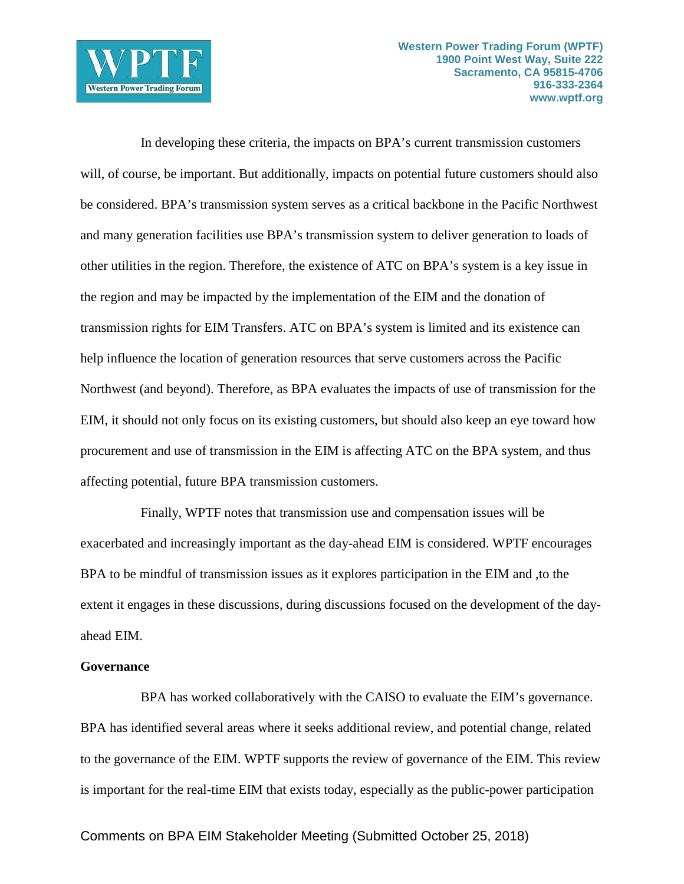

In developing these criteria, the impacts on BPA's current transmission customers will, of course, be important. But additionally, impacts on potential future customers should also be considered. BPA's transmission system serves as a critical backbone in the Pacific Northwest and many generation facilities use BPA's transmission system to deliver generation to loads of other utilities in the region. Therefore, the existence of ATC on BPA's system is a key issue in the region and may be impacted by the implementation of the EIM and the donation of transmission rights for EIM Transfers. ATC on BPA's system is limited and its existence can help influence the location of generation resources that serve customers across the Pacific Northwest (and beyond). Therefore, as BPA evaluates the impacts of use of transmission for the EIM, it should not only focus on its existing customers, but should also keep an eye toward how procurement and use of transmission in the EIM is affecting ATC on the BPA system, and thus affecting potential, future BPA transmission customers.

Finally, WPTF notes that transmission use and compensation issues will be exacerbated and increasingly important as the day-ahead EIM is considered. WPTF encourages BPA to be mindful of transmission issues as it explores participation in the EIM and ,to the extent it engages in these discussions, during discussions focused on the development of the dayahead EIM.

#### **Governance**

BPA has worked collaboratively with the CAISO to evaluate the EIM's governance. BPA has identified several areas where it seeks additional review, and potential change, related to the governance of the EIM. WPTF supports the review of governance of the EIM. This review is important for the real-time EIM that exists today, especially as the public-power participation